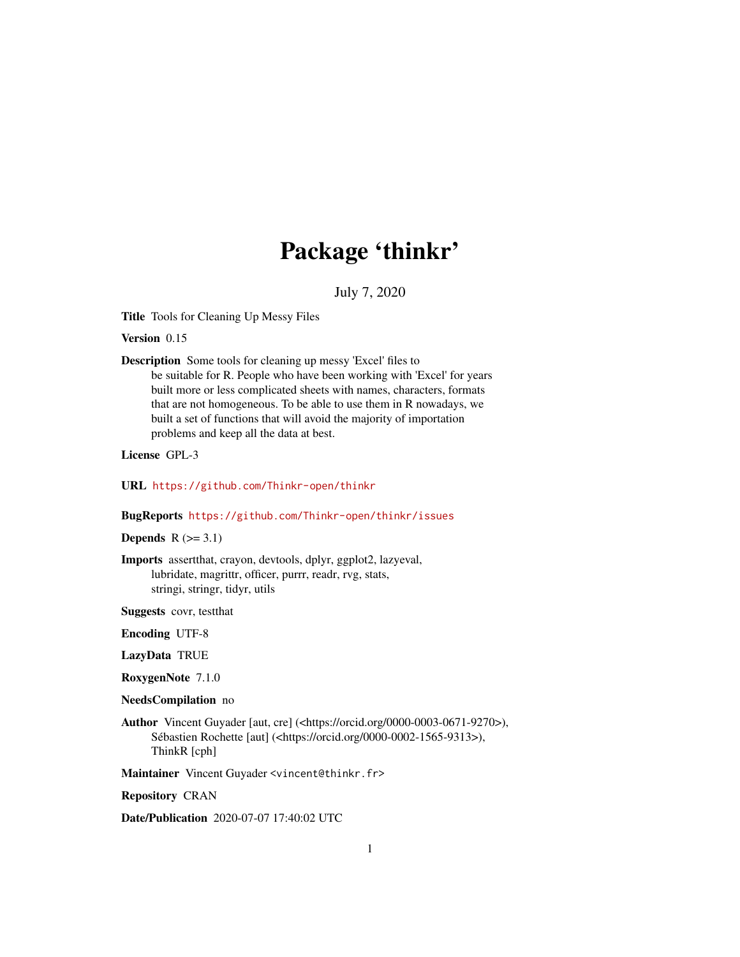# Package 'thinkr'

July 7, 2020

Title Tools for Cleaning Up Messy Files

Version 0.15

Description Some tools for cleaning up messy 'Excel' files to be suitable for R. People who have been working with 'Excel' for years built more or less complicated sheets with names, characters, formats that are not homogeneous. To be able to use them in R nowadays, we built a set of functions that will avoid the majority of importation problems and keep all the data at best.

License GPL-3

URL <https://github.com/Thinkr-open/thinkr>

BugReports <https://github.com/Thinkr-open/thinkr/issues>

Depends  $R$  ( $>= 3.1$ )

Imports assertthat, crayon, devtools, dplyr, ggplot2, lazyeval, lubridate, magrittr, officer, purrr, readr, rvg, stats, stringi, stringr, tidyr, utils

Suggests covr, testthat

Encoding UTF-8

LazyData TRUE

RoxygenNote 7.1.0

NeedsCompilation no

Author Vincent Guyader [aut, cre] (<https://orcid.org/0000-0003-0671-9270>), Sébastien Rochette [aut] (<https://orcid.org/0000-0002-1565-9313>), ThinkR [cph]

Maintainer Vincent Guyader <vincent@thinkr.fr>

Repository CRAN

Date/Publication 2020-07-07 17:40:02 UTC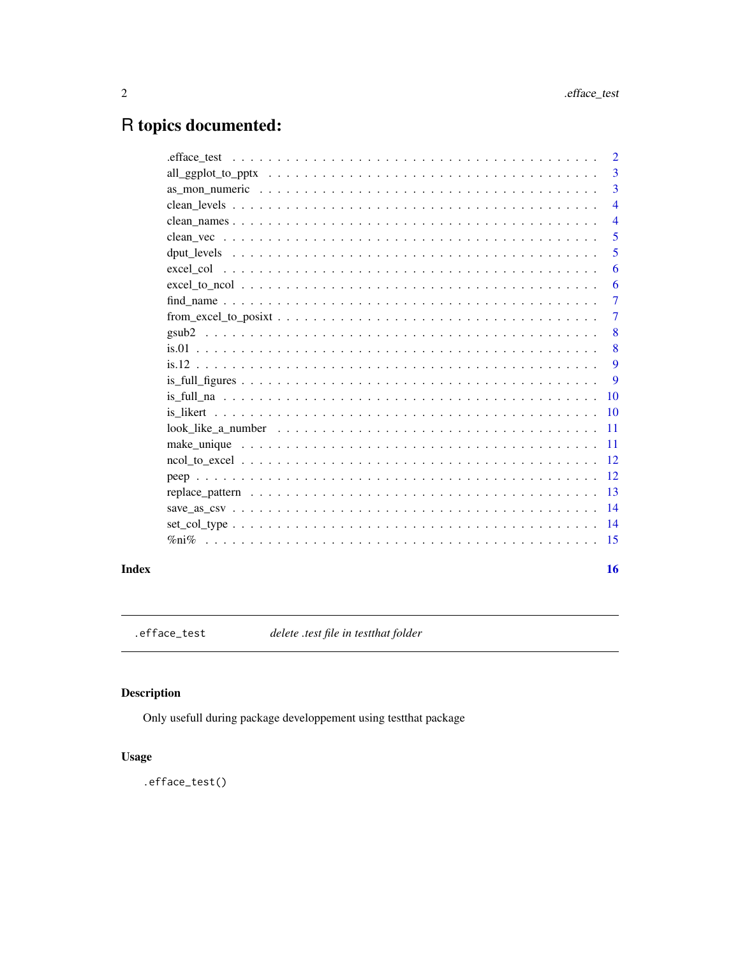$16$ 

# <span id="page-1-0"></span>R topics documented:

| $\overline{2}$ |
|----------------|
| 3              |
| 3              |
| $\overline{4}$ |
| $\overline{4}$ |
| 5              |
| 5              |
| 6              |
| 6              |
| 7              |
| 7              |
| 8              |
| 8              |
| 9              |
| 9              |
| <b>10</b>      |
| <b>10</b>      |
| <b>11</b>      |
| 11             |
| -12            |
| 12             |
| -13            |
|                |
| $\sqrt{14}$    |
| 15             |
|                |

# **Index**

.efface\_test

delete .test file in testthat folder

# **Description**

Only usefull during package developpement using testthat package

# **Usage**

.efface\_test()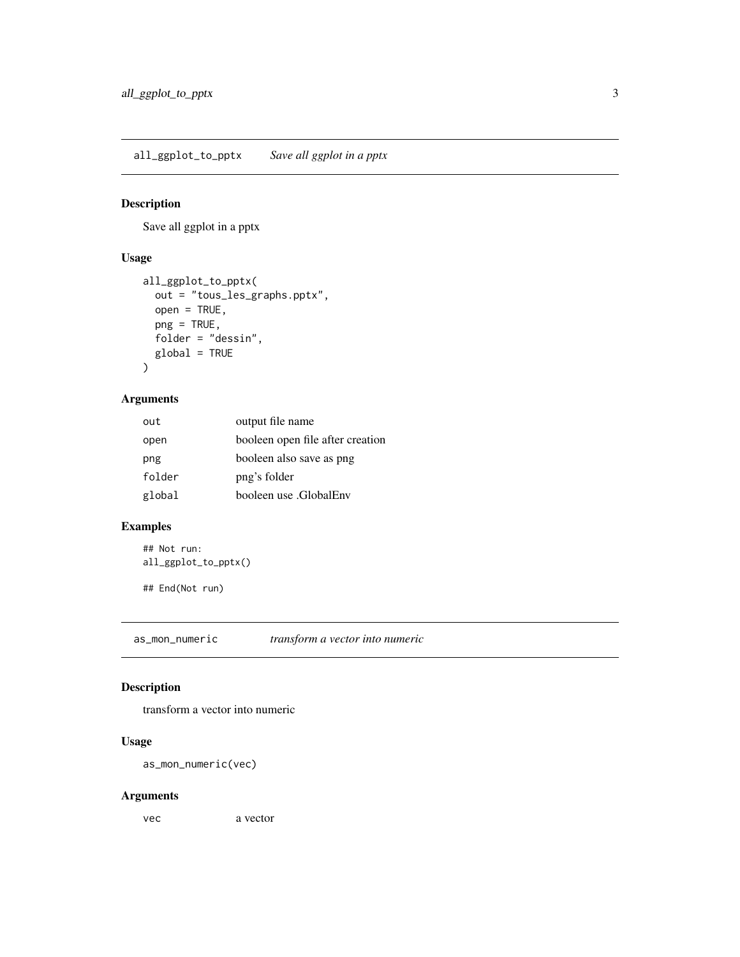<span id="page-2-0"></span>all\_ggplot\_to\_pptx *Save all ggplot in a pptx*

#### Description

Save all ggplot in a pptx

#### Usage

```
all_ggplot_to_pptx(
 out = "tous_les_graphs.pptx",
 open = TRUE,png = TRUE,
 folder = "dessin",
 global = TRUE
)
```
#### Arguments

| out    | output file name                 |
|--------|----------------------------------|
| open   | booleen open file after creation |
| png    | booleen also save as png         |
| folder | png's folder                     |
| global | booleen use .GlobalEnv           |

#### Examples

## Not run: all\_ggplot\_to\_pptx()

## End(Not run)

as\_mon\_numeric *transform a vector into numeric*

#### Description

transform a vector into numeric

#### Usage

as\_mon\_numeric(vec)

#### Arguments

vec a vector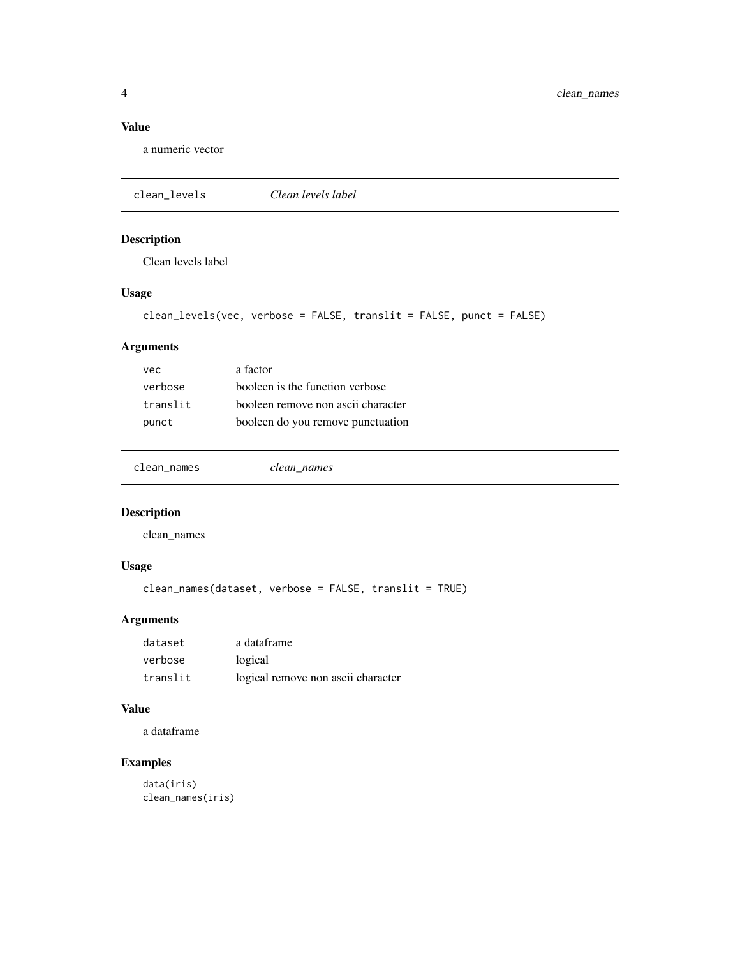<span id="page-3-0"></span>4 clean\_names

#### Value

a numeric vector

clean\_levels *Clean levels label*

# Description

Clean levels label

# Usage

```
clean_levels(vec, verbose = FALSE, translit = FALSE, punct = FALSE)
```
# Arguments

| vec      | a factor                           |
|----------|------------------------------------|
| verbose  | booleen is the function verbose    |
| translit | booleen remove non ascii character |
| punct    | booleen do you remove punctuation  |

clean\_names *clean\_names*

# Description

clean\_names

#### Usage

```
clean_names(dataset, verbose = FALSE, translit = TRUE)
```
# Arguments

| dataset  | a dataframe                        |
|----------|------------------------------------|
| verbose  | logical                            |
| translit | logical remove non ascii character |

#### Value

a dataframe

# Examples

data(iris) clean\_names(iris)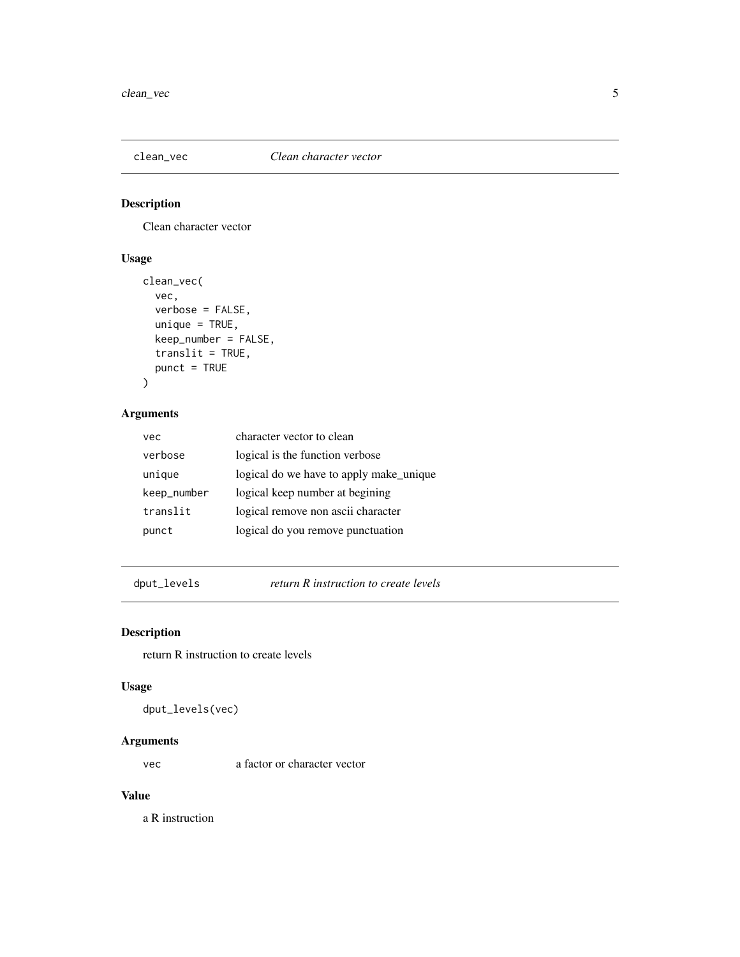<span id="page-4-0"></span>

Clean character vector

#### Usage

```
clean_vec(
 vec,
 verbose = FALSE,
 unique = TRUE,keep_number = FALSE,
  translit = TRUE,
 punct = TRUE)
```
#### Arguments

| vec         | character vector to clean               |
|-------------|-----------------------------------------|
| verbose     | logical is the function verbose         |
| unique      | logical do we have to apply make_unique |
| keep_number | logical keep number at begining         |
| translit    | logical remove non ascii character      |
| punct       | logical do you remove punctuation       |

dput\_levels *return R instruction to create levels*

# Description

return R instruction to create levels

#### Usage

dput\_levels(vec)

#### Arguments

vec a factor or character vector

#### Value

a R instruction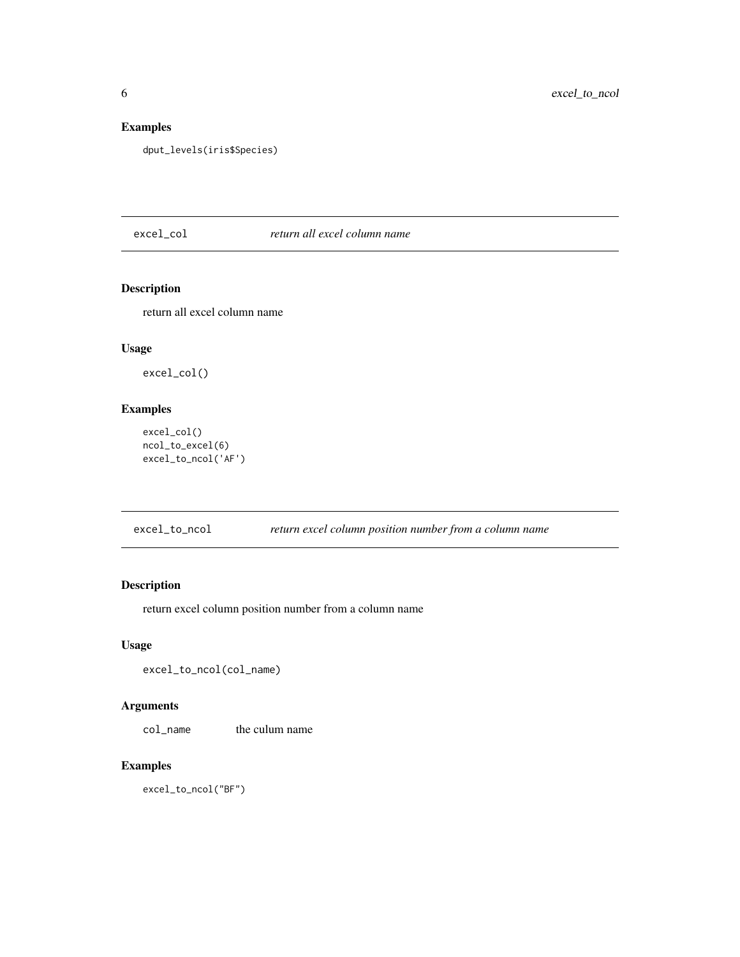# <span id="page-5-0"></span>Examples

dput\_levels(iris\$Species)

#### excel\_col *return all excel column name*

#### Description

return all excel column name

#### Usage

excel\_col()

#### Examples

```
excel_col()
ncol_to_excel(6)
excel_to_ncol('AF')
```
excel\_to\_ncol *return excel column position number from a column name*

# Description

return excel column position number from a column name

#### Usage

```
excel_to_ncol(col_name)
```
#### Arguments

col\_name the culum name

#### Examples

excel\_to\_ncol("BF")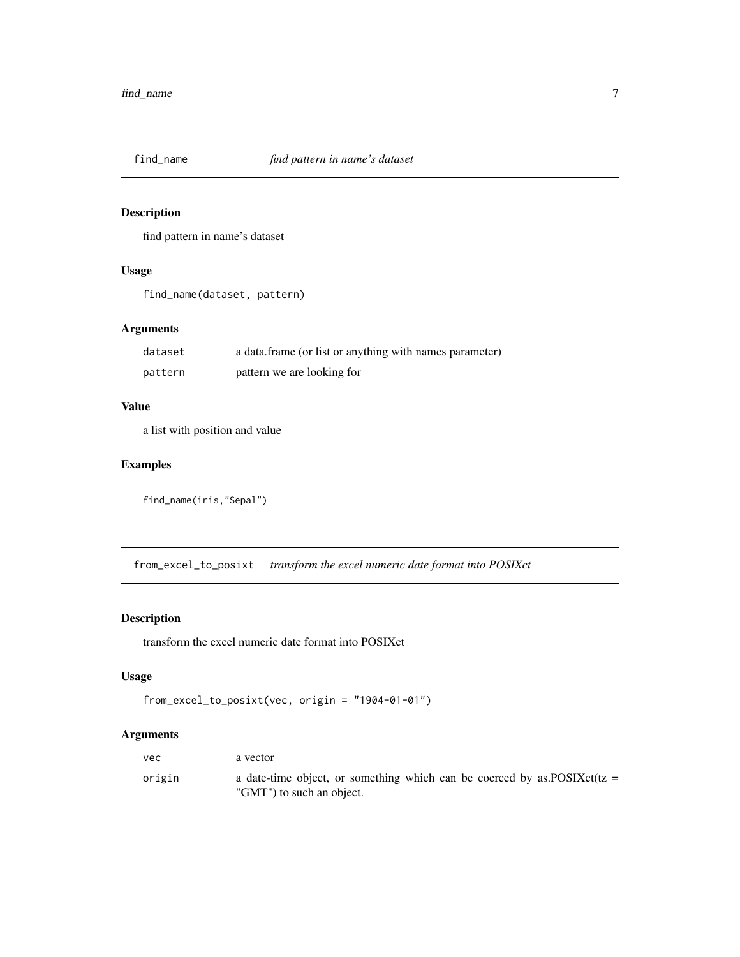<span id="page-6-0"></span>

find pattern in name's dataset

#### Usage

find\_name(dataset, pattern)

#### Arguments

| dataset | a data.frame (or list or anything with names parameter) |
|---------|---------------------------------------------------------|
| pattern | pattern we are looking for                              |

# Value

a list with position and value

#### Examples

```
find_name(iris,"Sepal")
```
from\_excel\_to\_posixt *transform the excel numeric date format into POSIXct*

# Description

transform the excel numeric date format into POSIXct

#### Usage

```
from_excel_to_posixt(vec, origin = "1904-01-01")
```
#### Arguments

| vec    | a vector                                                                                                 |
|--------|----------------------------------------------------------------------------------------------------------|
| origin | a date-time object, or something which can be coerced by as POSIX $ct(iz =$<br>"GMT") to such an object. |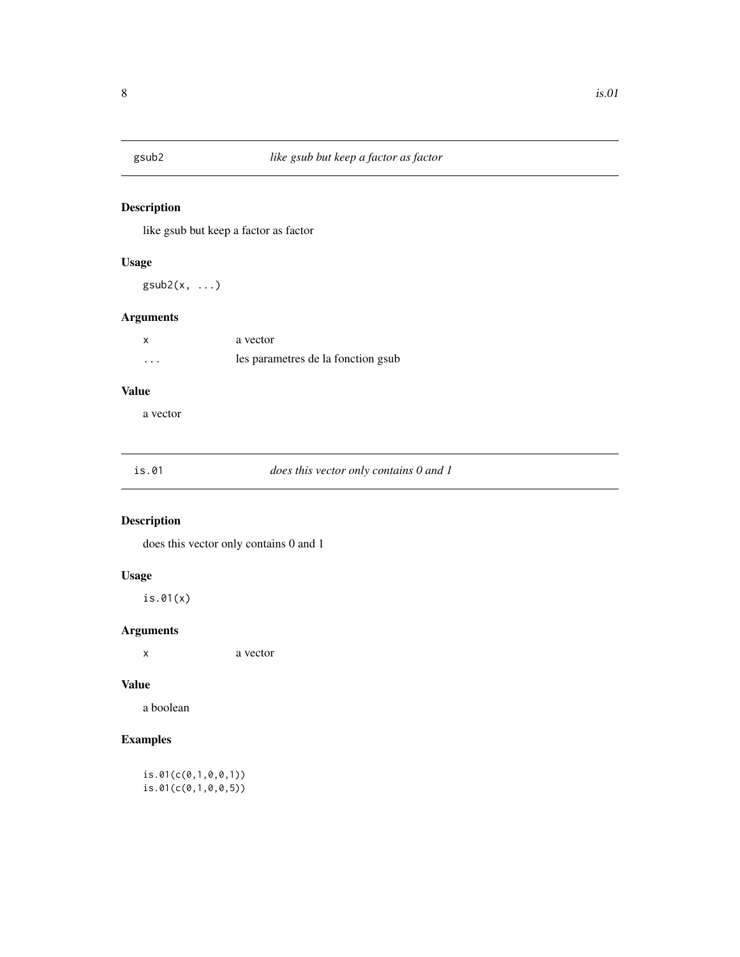<span id="page-7-0"></span>

like gsub but keep a factor as factor

#### Usage

 $gsub2(x, \ldots)$ 

#### Arguments

|          | a vector                           |
|----------|------------------------------------|
| $\cdots$ | les parametres de la fonction gsub |

#### Value

a vector

#### does this vector only contains 0 and 1

# Description

does this vector only contains 0 and 1

#### Usage

is.01(x)

#### Arguments

x a vector

#### Value

a boolean

# Examples

is.01(c(0,1,0,0,1)) is.01(c(0,1,0,0,5))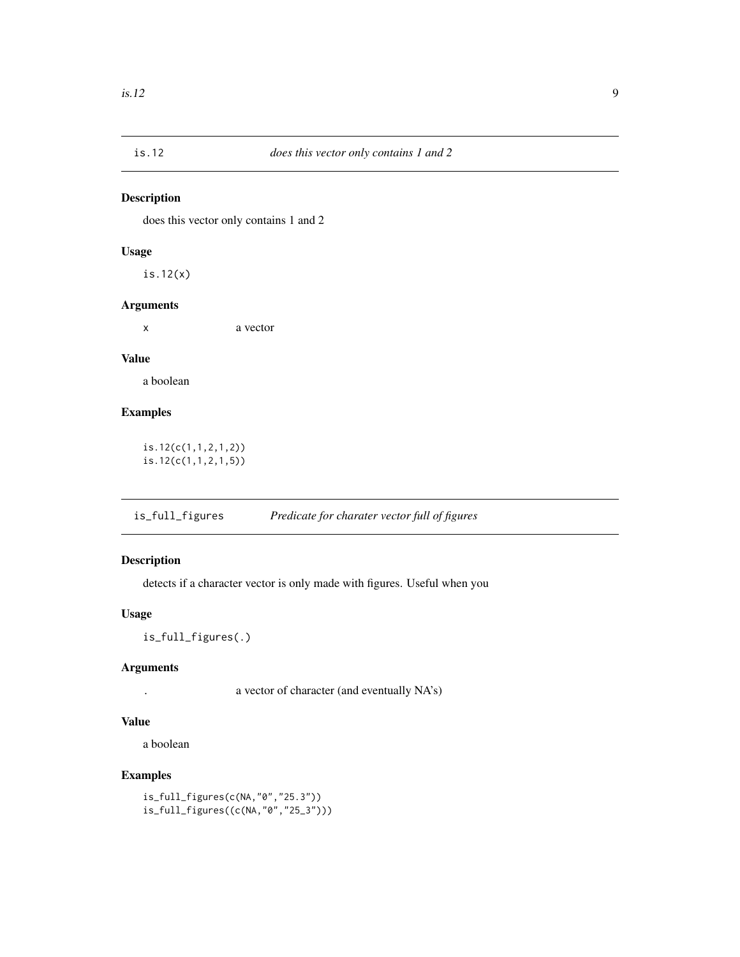<span id="page-8-0"></span>

does this vector only contains 1 and 2

#### Usage

is.12(x)

#### Arguments

x a vector

#### Value

a boolean

#### Examples

is.12(c(1,1,2,1,2)) is.12(c(1,1,2,1,5))

is\_full\_figures *Predicate for charater vector full of figures*

#### Description

detects if a character vector is only made with figures. Useful when you

#### Usage

is\_full\_figures(.)

#### Arguments

. a vector of character (and eventually NA's)

#### Value

a boolean

#### Examples

```
is_full_figures(c(NA,"0","25.3"))
is_full_figures((c(NA,"0","25_3")))
```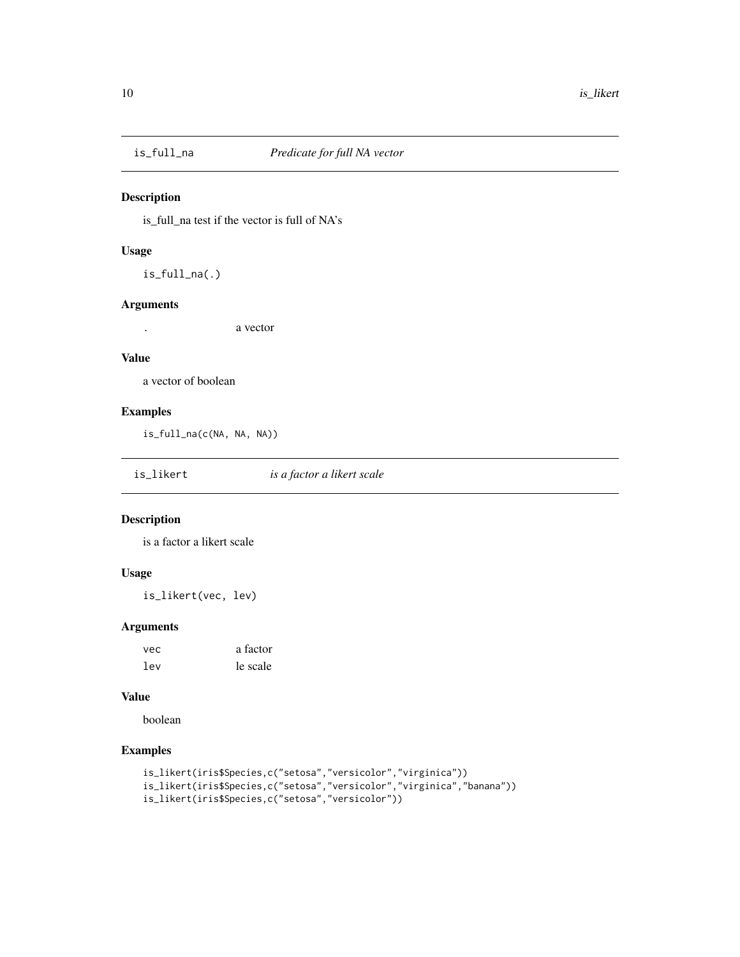<span id="page-9-0"></span>

is\_full\_na test if the vector is full of NA's

#### Usage

is\_full\_na(.)

#### Arguments

. a vector

#### Value

a vector of boolean

#### Examples

is\_full\_na(c(NA, NA, NA))

is\_likert *is a factor a likert scale*

#### Description

is a factor a likert scale

#### Usage

is\_likert(vec, lev)

#### Arguments

| vec | a factor |
|-----|----------|
| lev | le scale |

#### Value

boolean

# Examples

```
is_likert(iris$Species,c("setosa","versicolor","virginica"))
is_likert(iris$Species,c("setosa","versicolor","virginica","banana"))
is_likert(iris$Species,c("setosa","versicolor"))
```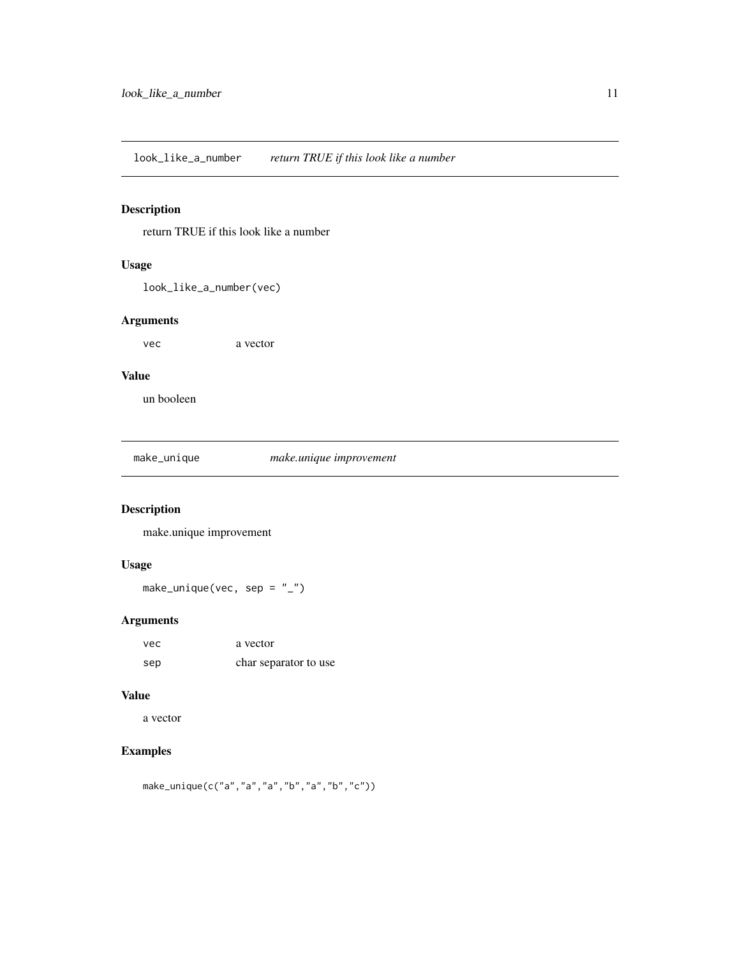<span id="page-10-0"></span>look\_like\_a\_number *return TRUE if this look like a number*

# Description

return TRUE if this look like a number

#### Usage

look\_like\_a\_number(vec)

#### Arguments

vec a vector

#### Value

un booleen

make\_unique *make.unique improvement*

#### Description

make.unique improvement

#### Usage

make\_unique(vec, sep =  $"$ \_")

# Arguments

| vec | a vector              |
|-----|-----------------------|
| sep | char separator to use |

#### Value

a vector

# Examples

make\_unique(c("a","a","a","b","a","b","c"))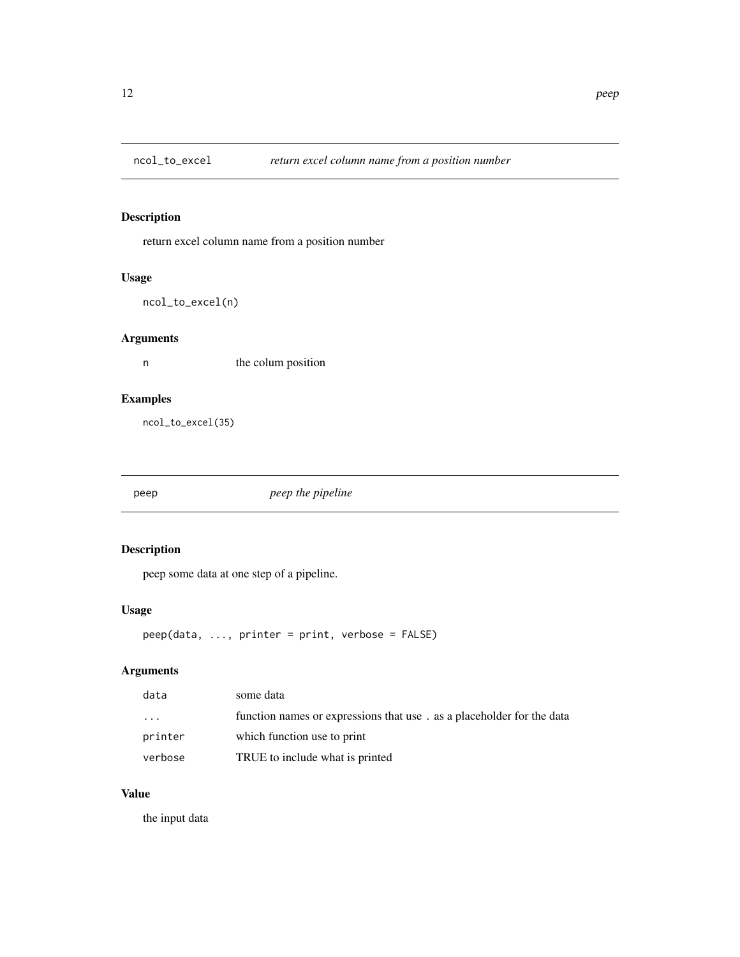<span id="page-11-0"></span>

return excel column name from a position number

#### Usage

```
ncol_to_excel(n)
```
# Arguments

n the colum position

#### Examples

ncol\_to\_excel(35)

peep *peep the pipeline*

#### Description

peep some data at one step of a pipeline.

#### Usage

```
peep(data, ..., printer = print, verbose = FALSE)
```
# Arguments

| data    | some data                                                             |
|---------|-----------------------------------------------------------------------|
| .       | function names or expressions that use. as a placeholder for the data |
| printer | which function use to print                                           |
| verbose | TRUE to include what is printed                                       |

#### Value

the input data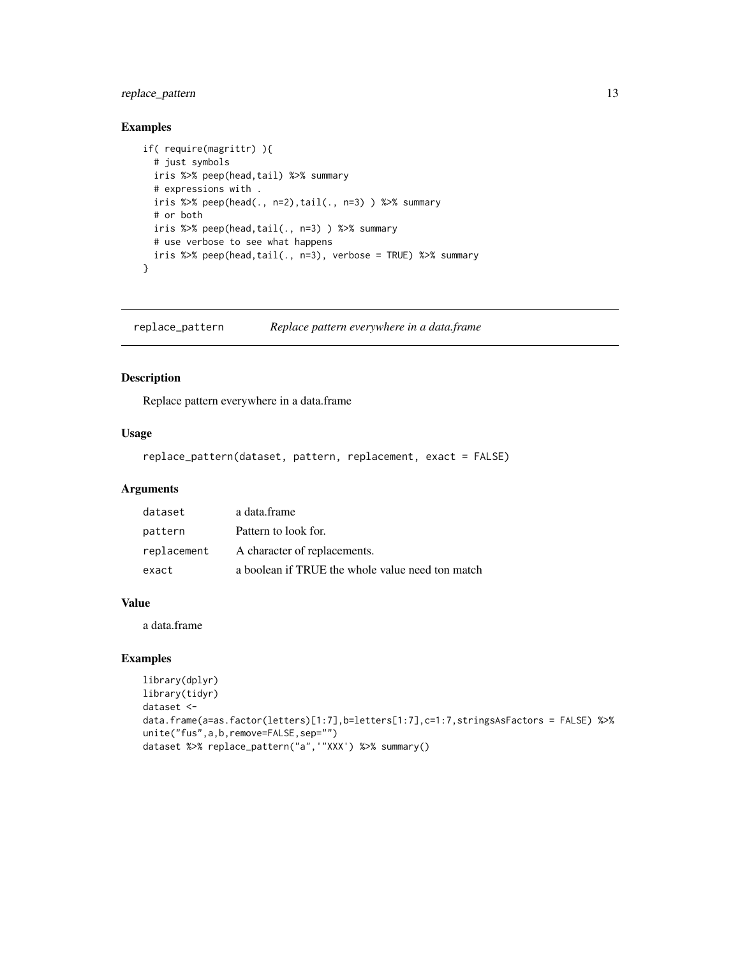#### <span id="page-12-0"></span>replace\_pattern 13

#### Examples

```
if( require(magrittr) ){
 # just symbols
 iris %>% peep(head,tail) %>% summary
 # expressions with .
 iris %>% peep(head(., n=2),tail(., n=3) ) %>% summary
 # or both
 iris %>% peep(head,tail(., n=3) ) %>% summary
 # use verbose to see what happens
 iris %>% peep(head,tail(., n=3), verbose = TRUE) %>% summary
}
```
replace\_pattern *Replace pattern everywhere in a data.frame*

#### Description

Replace pattern everywhere in a data.frame

#### Usage

```
replace_pattern(dataset, pattern, replacement, exact = FALSE)
```
#### Arguments

| dataset     | a data.frame                                     |
|-------------|--------------------------------------------------|
| pattern     | Pattern to look for.                             |
| replacement | A character of replacements.                     |
| exact       | a boolean if TRUE the whole value need ton match |

#### Value

a data.frame

#### Examples

```
library(dplyr)
library(tidyr)
dataset <-
data.frame(a=as.factor(letters)[1:7],b=letters[1:7],c=1:7,stringsAsFactors = FALSE) %>%
unite("fus",a,b,remove=FALSE,sep="")
dataset %>% replace_pattern("a",'"XXX') %>% summary()
```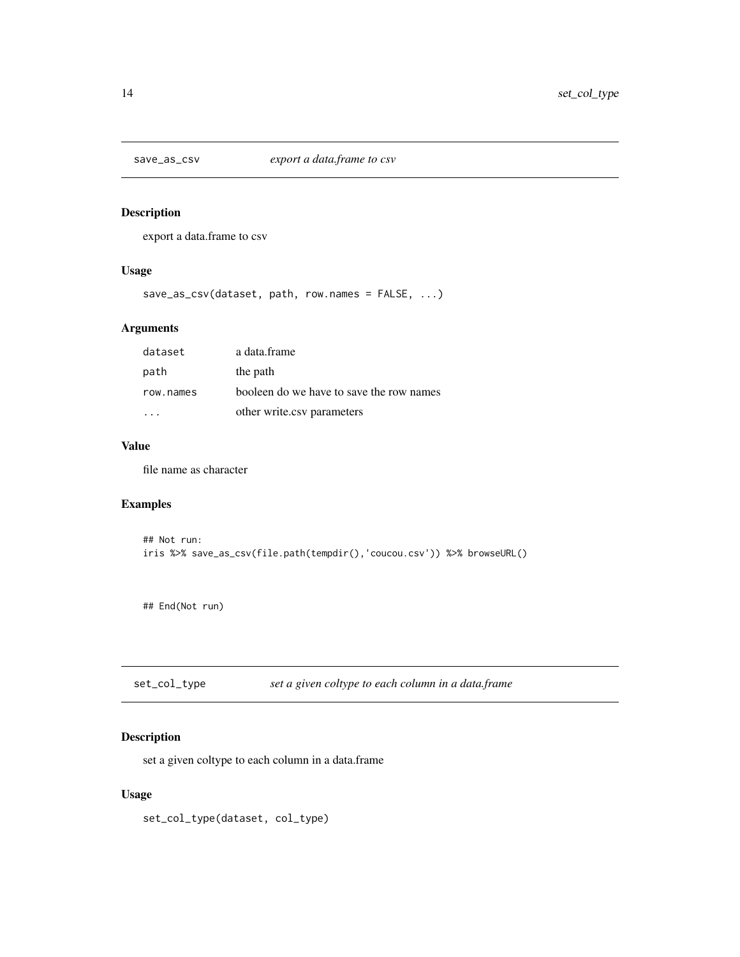<span id="page-13-0"></span>

export a data.frame to csv

#### Usage

save\_as\_csv(dataset, path, row.names = FALSE, ...)

#### Arguments

| dataset   | a data.frame                             |
|-----------|------------------------------------------|
| path      | the path                                 |
| row.names | booleen do we have to save the row names |
|           | other write.csv parameters               |

# Value

file name as character

#### Examples

```
## Not run:
iris %>% save_as_csv(file.path(tempdir(),'coucou.csv')) %>% browseURL()
```
## End(Not run)

set\_col\_type *set a given coltype to each column in a data.frame*

# Description

set a given coltype to each column in a data.frame

#### Usage

set\_col\_type(dataset, col\_type)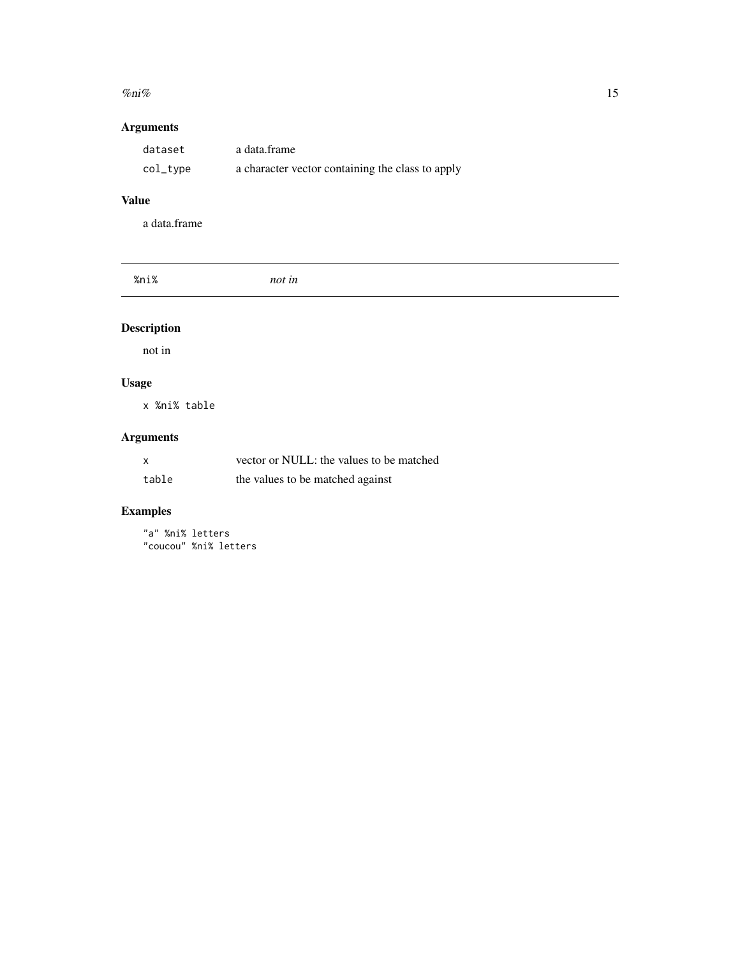#### <span id="page-14-0"></span> $\%$ ni% 15

# Arguments

| dataset  | a data.frame                                     |
|----------|--------------------------------------------------|
| col_type | a character vector containing the class to apply |

# Value

a data.frame

| $\mathbf{a}$<br>the contract of the contract of the |  |  |
|-----------------------------------------------------|--|--|
|                                                     |  |  |

# Description

not in

# Usage

x %ni% table

# Arguments

| x     | vector or NULL: the values to be matched |
|-------|------------------------------------------|
| table | the values to be matched against         |

# Examples

"a" %ni% letters "coucou" %ni% letters